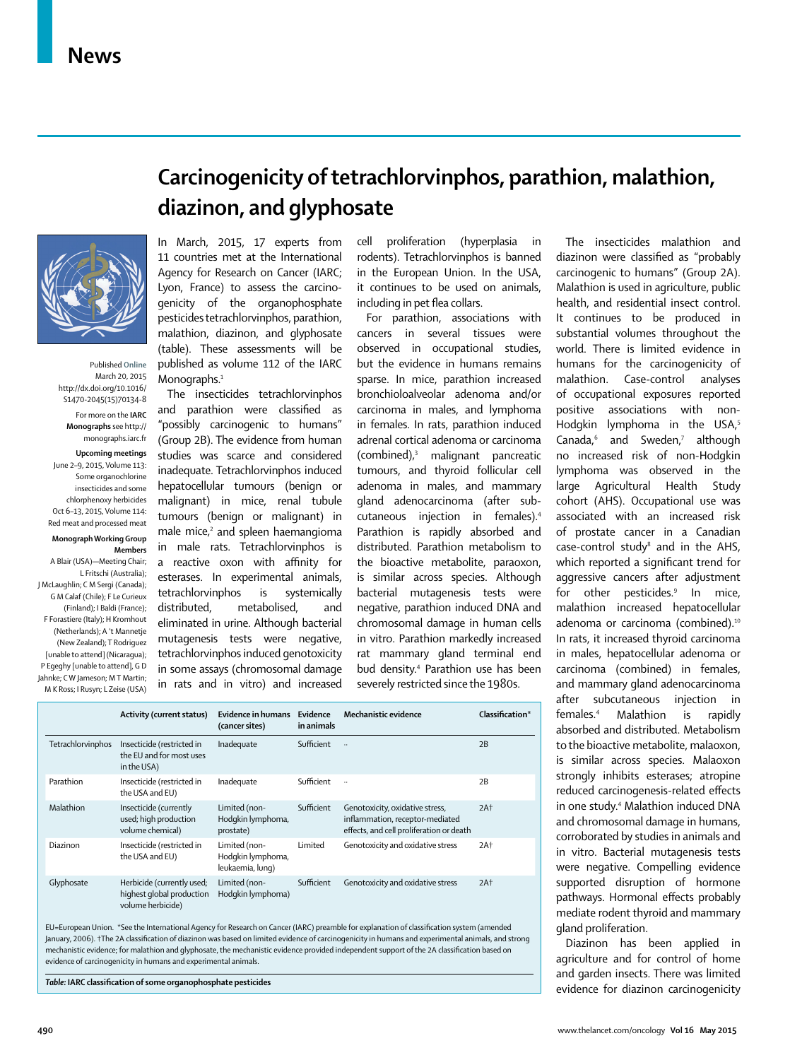

Published **Online** March 20, 2015 http://dx.doi.org/10.1016/ S1470-2045(15)70134-8

For more on the **IARC Monographs** see http:// monographs.iarc.fr

#### **Upcoming meetings**

June 2–9, 2015, Volume 113: Some organochlorine insecticides and some chlorphenoxy herbicides Oct 6–13, 2015, Volume 114: Red meat and processed meat

#### **Monograph Working Group Members**

A Blair (USA)—Meeting Chair; L Fritschi (Australia); J McLaughlin; C M Sergi (Canada); G M Calaf (Chile); F Le Curieux (Finland); I Baldi (France); F Forastiere (Italy); H Kromhout (Netherlands); A 't Mannetje (New Zealand); T Rodriguez [unable to attend] (Nicaragua); P Egeghy [unable to attend], G D Jahnke; C W Jameson; M T Martin; M K Ross; I Rusyn; L Zeise (USA)

# **Carcinogenicity of tetrachlorvinphos, parathion, malathion, diazinon, and glyphosate**

In March, 2015, 17 experts from 11 countries met at the International Agency for Research on Cancer (IARC; Lyon, France) to assess the carcinogenicity of the organophosphate pesticides tetrachlorvinphos, parathion, malathion, diazinon, and glyphosate (table). These assessments will be published as volume 112 of the IARC Monographs.<sup>1</sup>

The insecticides tetrachlorvinphos and parathion were classified as "possibly carcinogenic to humans" (Group 2B). The evidence from human studies was scarce and considered inadequate. Tetrachlorvinphos induced hepatocellular tumours (benign or malignant) in mice, renal tubule tumours (benign or malignant) in male mice,<sup>2</sup> and spleen haemangioma in male rats. Tetrachlorvinphos is a reactive oxon with affinity for esterases. In experimental animals, tetra chlorvinphos is systemically distributed, metabolised, and eliminated in urine. Although bacterial mutagenesis tests were negative, tetrachlorvinphos induced genotoxicity in some assays (chromosomal damage in rats and in vitro) and increased

cell proliferation (hyperplasia in rodents). Tetrachlorvinphos is banned in the European Union. In the USA, it continues to be used on animals, including in pet flea collars.

For parathion, associations with cancers in several tissues were observed in occupational studies, but the evidence in humans remains sparse. In mice, parathion increased bronchioloalveolar adenoma and/or carcinoma in males, and lymphoma in females. In rats, parathion induced adrenal cortical adenoma or carcinoma (combined),3 malignant pancreatic tumours, and thyroid follicular cell adenoma in males, and mammary gland adenocarcinoma (after subcutaneous injection in females).4 Parathion is rapidly absorbed and distributed. Parathion metabolism to the bioactive metabolite, paraoxon, is similar across species. Although bacterial mutagenesis tests were negative, parathion induced DNA and chromosomal damage in human cells in vitro. Parathion markedly increased rat mammary gland terminal end bud density.4 Parathion use has been severely restricted since the 1980s.

|                   | <b>Activity (current status)</b>                                             | Evidence in humans<br>(cancer sites)                   | Evidence<br>in animals | Mechanistic evidence                                                                                           | Classification* |
|-------------------|------------------------------------------------------------------------------|--------------------------------------------------------|------------------------|----------------------------------------------------------------------------------------------------------------|-----------------|
| Tetrachlorvinphos | Insecticide (restricted in<br>the EU and for most uses<br>in the USA)        | Inadequate                                             | Sufficient             | $\ldots$                                                                                                       | 2B              |
| Parathion         | Insecticide (restricted in<br>the USA and EU)                                | Inadequate                                             | Sufficient             | $\ldots$                                                                                                       | 2B              |
| Malathion         | Insecticide (currently<br>used; high production<br>volume chemical)          | Limited (non-<br>Hodgkin lymphoma,<br>prostate)        | Sufficient             | Genotoxicity, oxidative stress,<br>inflammation, receptor-mediated<br>effects, and cell proliferation or death | 2At             |
| Diazinon          | Insecticide (restricted in<br>the USA and EU)                                | Limited (non-<br>Hodgkin lymphoma,<br>leukaemia, lung) | Limited                | Genotoxicity and oxidative stress                                                                              | 2At             |
| Glyphosate        | Herbicide (currently used;<br>highest global production<br>volume herbicide) | Limited (non-<br>Hodgkin lymphoma)                     | Sufficient             | Genotoxicity and oxidative stress                                                                              | 2At             |

EU=European Union. \*See the International Agency for Research on Cancer (IARC) preamble for explanation of classification system (amended January, 2006). †The 2A classification of diazinon was based on limited evidence of carcinogenicity in humans and experimental animals, and strong mechanistic evidence; for malathion and glyphosate, the mechanistic evidence provided independent support of the 2A classification based on evidence of carcinogenicity in humans and experimental animals.

*Table:* **IARC classifi cation of some organophosphate pesticides**

substantial volumes throughout the world. There is limited evidence in humans for the carcino genicity of malathion. Case-control analyses of occupational exposures reported positive associations with non-Hodgkin lymphoma in the USA,<sup>5</sup> Canada,<sup>6</sup> and Sweden,<sup>7</sup> although no increased risk of non-Hodgkin lymphoma was observed in the large Agricultural Health Study cohort (AHS). Occupational use was associated with an increased risk of prostate cancer in a Canadian  $case$ -control study $^8$  and in the AHS, which reported a significant trend for aggressive cancers after adjustment for other pesticides.<sup>9</sup> In mice, malathion increased hepatocellular adenoma or carcinoma (combined).<sup>10</sup> In rats, it increased thyroid carcinoma in males, hepatocellular adenoma or carcinoma (combined) in females, and mammary gland adenocarcinoma after subcutaneous injection in females.4 Malathion is rapidly absorbed and distributed. Metabolism to the bioactive metabolite, malaoxon, is similar across species. Malaoxon strongly inhibits esterases; atropine reduced carcinogenesis-related effects in one study.4 Malathion induced DNA and chromosomal damage in humans, corroborated by studies in animals and in vitro. Bacterial mutagenesis tests were negative. Compelling evidence supported disruption of hormone pathways. Hormonal effects probably mediate rodent thyroid and mammary gland proliferation. Diazinon has been applied in agriculture and for control of home

The insecticides malathion and diazinon were classified as "probably carcinogenic to humans" (Group 2A). Malathion is used in agriculture, public health, and residential insect control. It continues to be produced in

and garden insects. There was limited evidence for diazinon carcinogenicity